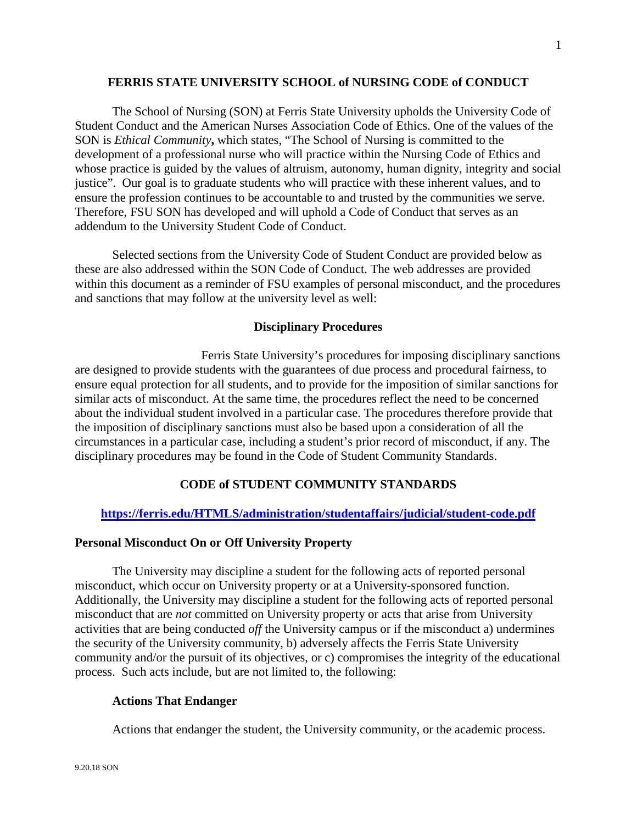## **FERRIS STATE UNIVERSITY SCHOOL of NURSING CODE of CONDUCT**

The School of Nursing (SON) at Ferris State University upholds the University Code of Student Conduct and the American Nurses Association Code of Ethics. One of the values of the SON is *Ethical Community***,** which states, "The School of Nursing is committed to the development of a professional nurse who will practice within the Nursing Code of Ethics and whose practice is guided by the values of altruism, autonomy, human dignity, integrity and social justice". Our goal is to graduate students who will practice with these inherent values, and to ensure the profession continues to be accountable to and trusted by the communities we serve. Therefore, FSU SON has developed and will uphold a Code of Conduct that serves as an addendum to the University Student Code of Conduct.

Selected sections from the University Code of Student Conduct are provided below as these are also addressed within the SON Code of Conduct. The web addresses are provided within this document as a reminder of FSU examples of personal misconduct, and the procedures and sanctions that may follow at the university level as well:

## **Disciplinary Procedures**

Ferris State University's procedures for imposing disciplinary sanctions are designed to provide students with the guarantees of due process and procedural fairness, to ensure equal protection for all students, and to provide for the imposition of similar sanctions for similar acts of misconduct. At the same time, the procedures reflect the need to be concerned about the individual student involved in a particular case. The procedures therefore provide that the imposition of disciplinary sanctions must also be based upon a consideration of all the circumstances in a particular case, including a student's prior record of misconduct, if any. The disciplinary procedures may be found in the Code of Student Community Standards.

## **CODE of STUDENT COMMUNITY STANDARDS**

# **<https://ferris.edu/HTMLS/administration/studentaffairs/judicial/student-code.pdf>**

## **Personal Misconduct On or Off University Property**

The University may discipline a student for the following acts of reported personal misconduct, which occur on University property or at a University-sponsored function. Additionally, the University may discipline a student for the following acts of reported personal misconduct that are *not* committed on University property or acts that arise from University activities that are being conducted *off* the University campus or if the misconduct a) undermines the security of the University community, b) adversely affects the Ferris State University community and/or the pursuit of its objectives, or c) compromises the integrity of the educational process. Such acts include, but are not limited to, the following:

# **Actions That Endanger**

Actions that endanger the student, the University community, or the academic process.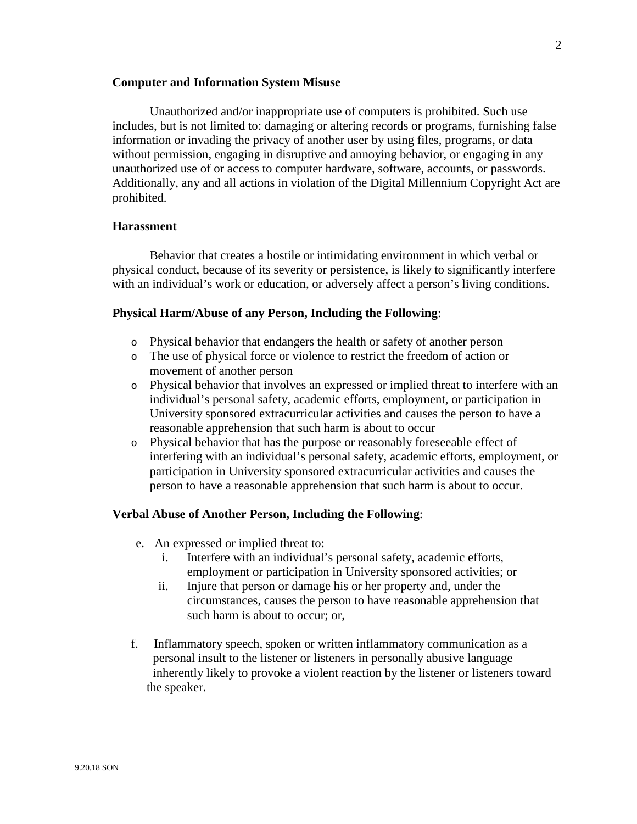#### **Computer and Information System Misuse**

Unauthorized and/or inappropriate use of computers is prohibited. Such use includes, but is not limited to: damaging or altering records or programs, furnishing false information or invading the privacy of another user by using files, programs, or data without permission, engaging in disruptive and annoying behavior, or engaging in any unauthorized use of or access to computer hardware, software, accounts, or passwords. Additionally, any and all actions in violation of the Digital Millennium Copyright Act are prohibited.

## **Harassment**

Behavior that creates a hostile or intimidating environment in which verbal or physical conduct, because of its severity or persistence, is likely to significantly interfere with an individual's work or education, or adversely affect a person's living conditions.

#### **Physical Harm/Abuse of any Person, Including the Following**:

- o Physical behavior that endangers the health or safety of another person
- o The use of physical force or violence to restrict the freedom of action or movement of another person
- o Physical behavior that involves an expressed or implied threat to interfere with an individual's personal safety, academic efforts, employment, or participation in University sponsored extracurricular activities and causes the person to have a reasonable apprehension that such harm is about to occur
- o Physical behavior that has the purpose or reasonably foreseeable effect of interfering with an individual's personal safety, academic efforts, employment, or participation in University sponsored extracurricular activities and causes the person to have a reasonable apprehension that such harm is about to occur.

## **Verbal Abuse of Another Person, Including the Following**:

- e. An expressed or implied threat to:
	- i. Interfere with an individual's personal safety, academic efforts, employment or participation in University sponsored activities; or
	- ii. Injure that person or damage his or her property and, under the circumstances, causes the person to have reasonable apprehension that such harm is about to occur; or,
- f. Inflammatory speech, spoken or written inflammatory communication as a personal insult to the listener or listeners in personally abusive language inherently likely to provoke a violent reaction by the listener or listeners toward the speaker.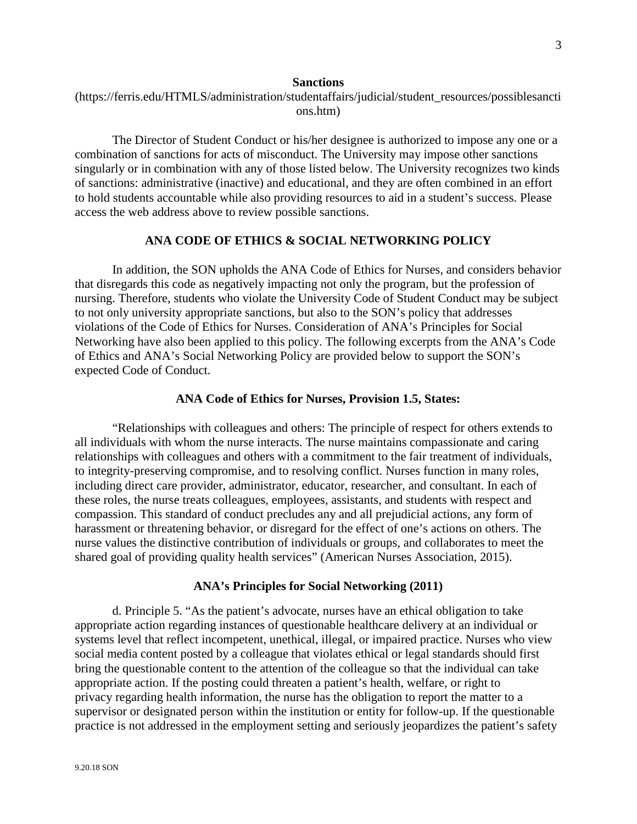## **Sanctions**

(https://ferris.edu/HTMLS/administration/studentaffairs/judicial/student\_resources/possiblesancti ons.htm)

The Director of Student Conduct or his/her designee is authorized to impose any one or a combination of sanctions for acts of misconduct. The University may impose other sanctions singularly or in combination with any of those listed below. The University recognizes two kinds of sanctions: administrative (inactive) and educational, and they are often combined in an effort to hold students accountable while also providing resources to aid in a student's success. Please access the web address above to review possible sanctions.

# **ANA CODE OF ETHICS & SOCIAL NETWORKING POLICY**

In addition, the SON upholds the ANA Code of Ethics for Nurses, and considers behavior that disregards this code as negatively impacting not only the program, but the profession of nursing. Therefore, students who violate the University Code of Student Conduct may be subject to not only university appropriate sanctions, but also to the SON's policy that addresses violations of the Code of Ethics for Nurses. Consideration of ANA's Principles for Social Networking have also been applied to this policy. The following excerpts from the ANA's Code of Ethics and ANA's Social Networking Policy are provided below to support the SON's expected Code of Conduct.

## **ANA Code of Ethics for Nurses, Provision 1.5, States:**

"Relationships with colleagues and others: The principle of respect for others extends to all individuals with whom the nurse interacts. The nurse maintains compassionate and caring relationships with colleagues and others with a commitment to the fair treatment of individuals, to integrity-preserving compromise, and to resolving conflict. Nurses function in many roles, including direct care provider, administrator, educator, researcher, and consultant. In each of these roles, the nurse treats colleagues, employees, assistants, and students with respect and compassion. This standard of conduct precludes any and all prejudicial actions, any form of harassment or threatening behavior, or disregard for the effect of one's actions on others. The nurse values the distinctive contribution of individuals or groups, and collaborates to meet the shared goal of providing quality health services" (American Nurses Association, 2015).

## **ANA's Principles for Social Networking (2011)**

d. Principle 5. "As the patient's advocate, nurses have an ethical obligation to take appropriate action regarding instances of questionable healthcare delivery at an individual or systems level that reflect incompetent, unethical, illegal, or impaired practice. Nurses who view social media content posted by a colleague that violates ethical or legal standards should first bring the questionable content to the attention of the colleague so that the individual can take appropriate action. If the posting could threaten a patient's health, welfare, or right to privacy regarding health information, the nurse has the obligation to report the matter to a supervisor or designated person within the institution or entity for follow-up. If the questionable practice is not addressed in the employment setting and seriously jeopardizes the patient's safety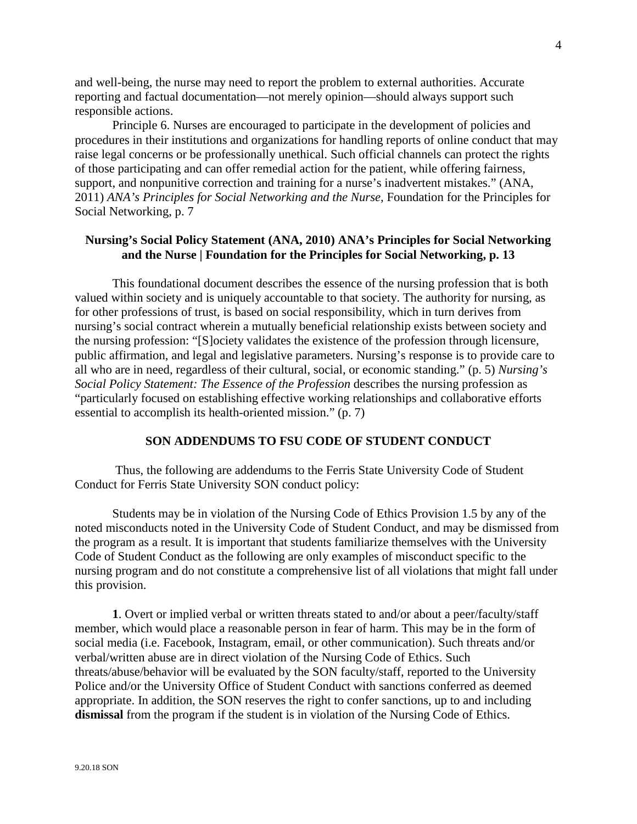and well-being, the nurse may need to report the problem to external authorities. Accurate reporting and factual documentation—not merely opinion—should always support such responsible actions.

Principle 6. Nurses are encouraged to participate in the development of policies and procedures in their institutions and organizations for handling reports of online conduct that may raise legal concerns or be professionally unethical. Such official channels can protect the rights of those participating and can offer remedial action for the patient, while offering fairness, support, and nonpunitive correction and training for a nurse's inadvertent mistakes." (ANA, 2011) *ANA's Principles for Social Networking and the Nurse,* Foundation for the Principles for Social Networking, p. 7

# **Nursing's Social Policy Statement (ANA, 2010) ANA's Principles for Social Networking and the Nurse | Foundation for the Principles for Social Networking, p. 13**

This foundational document describes the essence of the nursing profession that is both valued within society and is uniquely accountable to that society. The authority for nursing, as for other professions of trust, is based on social responsibility, which in turn derives from nursing's social contract wherein a mutually beneficial relationship exists between society and the nursing profession: "[S]ociety validates the existence of the profession through licensure, public affirmation, and legal and legislative parameters. Nursing's response is to provide care to all who are in need, regardless of their cultural, social, or economic standing." (p. 5) *Nursing's Social Policy Statement: The Essence of the Profession* describes the nursing profession as "particularly focused on establishing effective working relationships and collaborative efforts essential to accomplish its health-oriented mission." (p. 7)

## **SON ADDENDUMS TO FSU CODE OF STUDENT CONDUCT**

Thus, the following are addendums to the Ferris State University Code of Student Conduct for Ferris State University SON conduct policy:

Students may be in violation of the Nursing Code of Ethics Provision 1.5 by any of the noted misconducts noted in the University Code of Student Conduct, and may be dismissed from the program as a result. It is important that students familiarize themselves with the University Code of Student Conduct as the following are only examples of misconduct specific to the nursing program and do not constitute a comprehensive list of all violations that might fall under this provision.

**1**. Overt or implied verbal or written threats stated to and/or about a peer/faculty/staff member, which would place a reasonable person in fear of harm. This may be in the form of social media (i.e. Facebook, Instagram, email, or other communication). Such threats and/or verbal/written abuse are in direct violation of the Nursing Code of Ethics. Such threats/abuse/behavior will be evaluated by the SON faculty/staff, reported to the University Police and/or the University Office of Student Conduct with sanctions conferred as deemed appropriate. In addition, the SON reserves the right to confer sanctions, up to and including **dismissal** from the program if the student is in violation of the Nursing Code of Ethics.